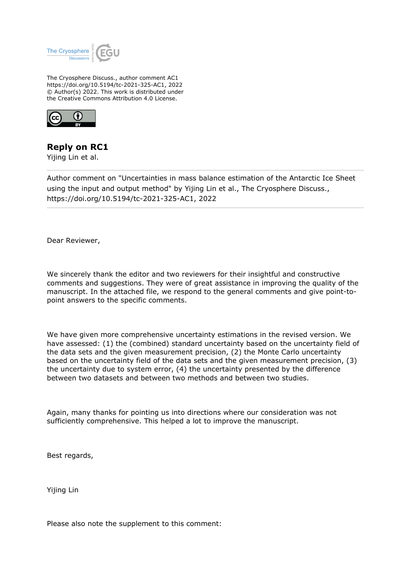

The Cryosphere Discuss., author comment AC1 https://doi.org/10.5194/tc-2021-325-AC1, 2022 © Author(s) 2022. This work is distributed under the Creative Commons Attribution 4.0 License.



**Reply on RC1**

Yijing Lin et al.

Author comment on "Uncertainties in mass balance estimation of the Antarctic Ice Sheet using the input and output method" by Yijing Lin et al., The Cryosphere Discuss., https://doi.org/10.5194/tc-2021-325-AC1, 2022

Dear Reviewer,

We sincerely thank the editor and two reviewers for their insightful and constructive comments and suggestions. They were of great assistance in improving the quality of the manuscript. In the attached file, we respond to the general comments and give point-topoint answers to the specific comments.

We have given more comprehensive uncertainty estimations in the revised version. We have assessed: (1) the (combined) standard uncertainty based on the uncertainty field of the data sets and the given measurement precision, (2) the Monte Carlo uncertainty based on the uncertainty field of the data sets and the given measurement precision, (3) the uncertainty due to system error, (4) the uncertainty presented by the difference between two datasets and between two methods and between two studies.

Again, many thanks for pointing us into directions where our consideration was not sufficiently comprehensive. This helped a lot to improve the manuscript.

Best regards,

Yijing Lin

Please also note the supplement to this comment: